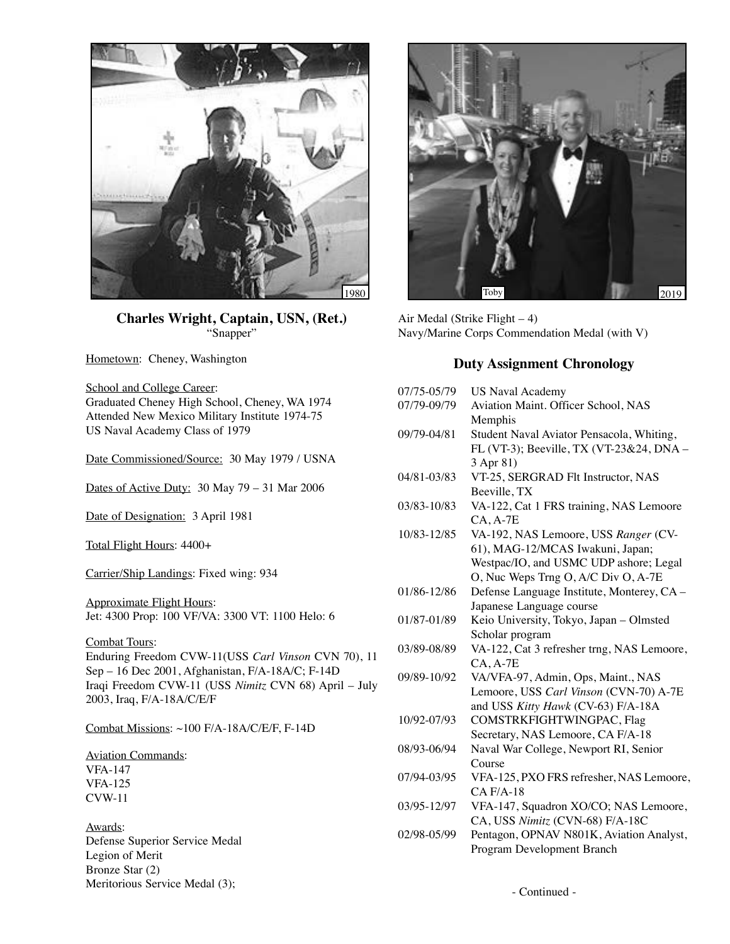

**Charles Wright, Captain, USN, (Ret.)** "Snapper"

Hometown: Cheney, Washington

School and College Career: Graduated Cheney High School, Cheney, WA 1974 Attended New Mexico Military Institute 1974-75 US Naval Academy Class of 1979

Date Commissioned/Source: 30 May 1979 / USNA

Dates of Active Duty: 30 May 79 – 31 Mar 2006

Date of Designation: 3 April 1981

Total Flight Hours: 4400+

Carrier/Ship Landings: Fixed wing: 934

Approximate Flight Hours: Jet: 4300 Prop: 100 VF/VA: 3300 VT: 1100 Helo: 6

Combat Tours: Enduring Freedom CVW-11(USS *Carl Vinson* CVN 70), 11 Sep – 16 Dec 2001, Afghanistan, F/A-18A/C; F-14D Iraqi Freedom CVW-11 (USS *Nimitz* CVN 68) April – July 2003, Iraq, F/A-18A/C/E/F

Combat Missions: ~100 F/A-18A/C/E/F, F-14D

Aviation Commands: VFA-147 VFA-125 CVW-11

Awards: Defense Superior Service Medal Legion of Merit Bronze Star (2) Meritorious Service Medal (3);



Air Medal (Strike Flight – 4) Navy/Marine Corps Commendation Medal (with V)

## **Duty Assignment Chronology**

| 07/75-05/79 | <b>US Naval Academy</b>                    |
|-------------|--------------------------------------------|
| 07/79-09/79 | Aviation Maint. Officer School, NAS        |
|             | Memphis                                    |
| 09/79-04/81 | Student Naval Aviator Pensacola, Whiting,  |
|             | FL (VT-3); Beeville, TX (VT-23&24, DNA -   |
|             | 3 Apr 81)                                  |
| 04/81-03/83 | VT-25, SERGRAD Flt Instructor, NAS         |
|             | Beeville, TX                               |
| 03/83-10/83 | VA-122, Cat 1 FRS training, NAS Lemoore    |
|             | $CA, A-7E$                                 |
| 10/83-12/85 | VA-192, NAS Lemoore, USS Ranger (CV-       |
|             | 61), MAG-12/MCAS Iwakuni, Japan;           |
|             | Westpac/IO, and USMC UDP ashore; Legal     |
|             | O, Nuc Weps Trng O, A/C Div O, A-7E        |
| 01/86-12/86 | Defense Language Institute, Monterey, CA - |
|             | Japanese Language course                   |
| 01/87-01/89 | Keio University, Tokyo, Japan - Olmsted    |
|             | Scholar program                            |
| 03/89-08/89 | VA-122, Cat 3 refresher trng, NAS Lemoore, |
|             | $CA, A-7E$                                 |
| 09/89-10/92 | VA/VFA-97, Admin, Ops, Maint., NAS         |
|             | Lemoore, USS Carl Vinson (CVN-70) A-7E     |
|             | and USS Kitty Hawk (CV-63) F/A-18A         |
| 10/92-07/93 | COMSTRKFIGHTWINGPAC, Flag                  |
|             | Secretary, NAS Lemoore, CA F/A-18          |
| 08/93-06/94 | Naval War College, Newport RI, Senior      |
|             | Course                                     |
| 07/94-03/95 | VFA-125, PXO FRS refresher, NAS Lemoore,   |
|             | $CA$ $F/A-18$                              |
| 03/95-12/97 | VFA-147, Squadron XO/CO; NAS Lemoore,      |
|             | CA, USS Nimitz (CVN-68) F/A-18C            |
| 02/98-05/99 | Pentagon, OPNAV N801K, Aviation Analyst,   |
|             | Program Development Branch                 |